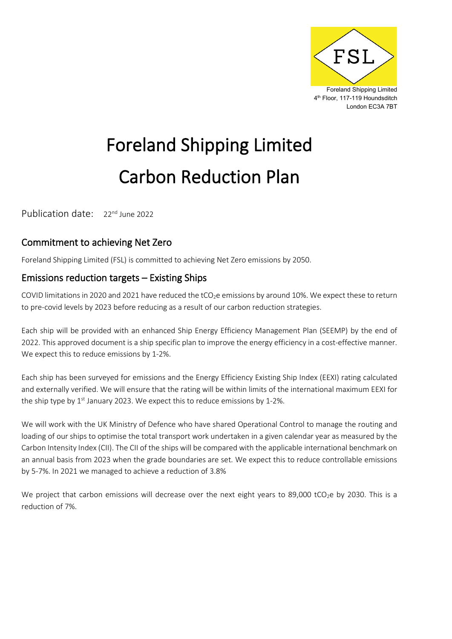

# Foreland Shipping Limited Carbon Reduction Plan

Publication date: 22<sup>nd</sup> June 2022

### Commitment to achieving Net Zero

Foreland Shipping Limited (FSL) is committed to achieving Net Zero emissions by 2050.

#### Emissions reduction targets – Existing Ships

COVID limitations in 2020 and 2021 have reduced the tCO<sub>2</sub>e emissions by around 10%. We expect these to return to pre-covid levels by 2023 before reducing as a result of our carbon reduction strategies.

Each ship will be provided with an enhanced Ship Energy Efficiency Management Plan (SEEMP) by the end of 2022. This approved document is a ship specific plan to improve the energy efficiency in a cost-effective manner. We expect this to reduce emissions by 1-2%.

Each ship has been surveyed for emissions and the Energy Efficiency Existing Ship Index (EEXI) rating calculated and externally verified. We will ensure that the rating will be within limits of the international maximum EEXI for the ship type by  $1<sup>st</sup>$  January 2023. We expect this to reduce emissions by 1-2%.

We will work with the UK Ministry of Defence who have shared Operational Control to manage the routing and loading of our ships to optimise the total transport work undertaken in a given calendar year as measured by the Carbon Intensity Index (CII). The CII of the ships will be compared with the applicable international benchmark on an annual basis from 2023 when the grade boundaries are set. We expect this to reduce controllable emissions by 5-7%. In 2021 we managed to achieve a reduction of 3.8%

We project that carbon emissions will decrease over the next eight years to 89,000 tCO<sub>2</sub>e by 2030. This is a reduction of 7%.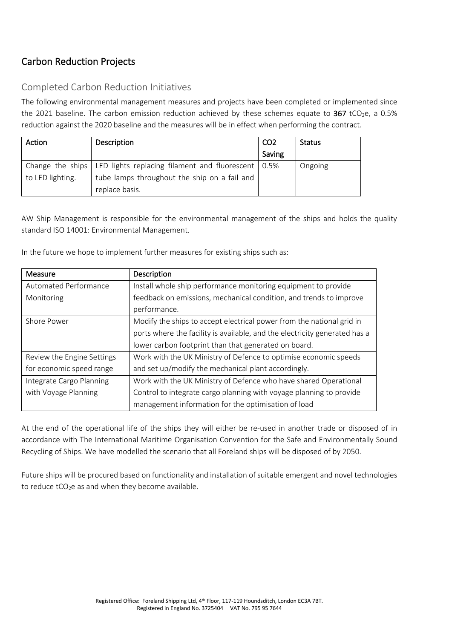# Carbon Reduction Projects

#### Completed Carbon Reduction Initiatives

The following environmental management measures and projects have been completed or implemented since the 2021 baseline. The carbon emission reduction achieved by these schemes equate to  $367$  tCO<sub>2</sub>e, a 0.5% reduction against the 2020 baseline and the measures will be in effect when performing the contract.

| Action           | Description                                                             | CO <sub>2</sub> | <b>Status</b> |
|------------------|-------------------------------------------------------------------------|-----------------|---------------|
|                  |                                                                         | Saving          |               |
|                  | Change the ships   LED lights replacing filament and fluorescent   0.5% |                 | Ongoing       |
| to LED lighting. | tube lamps throughout the ship on a fail and                            |                 |               |
|                  | replace basis.                                                          |                 |               |

AW Ship Management is responsible for the environmental management of the ships and holds the quality standard ISO 14001: Environmental Management.

In the future we hope to implement further measures for existing ships such as:

| Measure                    | Description                                                                |  |
|----------------------------|----------------------------------------------------------------------------|--|
| Automated Performance      | Install whole ship performance monitoring equipment to provide             |  |
| Monitoring                 | feedback on emissions, mechanical condition, and trends to improve         |  |
|                            | performance.                                                               |  |
| Shore Power                | Modify the ships to accept electrical power from the national grid in      |  |
|                            | ports where the facility is available, and the electricity generated has a |  |
|                            | lower carbon footprint than that generated on board.                       |  |
| Review the Engine Settings | Work with the UK Ministry of Defence to optimise economic speeds           |  |
| for economic speed range   | and set up/modify the mechanical plant accordingly.                        |  |
| Integrate Cargo Planning   | Work with the UK Ministry of Defence who have shared Operational           |  |
| with Voyage Planning       | Control to integrate cargo planning with voyage planning to provide        |  |
|                            | management information for the optimisation of load                        |  |

At the end of the operational life of the ships they will either be re-used in another trade or disposed of in accordance with The International Maritime Organisation Convention for the Safe and Environmentally Sound Recycling of Ships. We have modelled the scenario that all Foreland ships will be disposed of by 2050.

Future ships will be procured based on functionality and installation of suitable emergent and novel technologies to reduce  $tCO<sub>2</sub>e$  as and when they become available.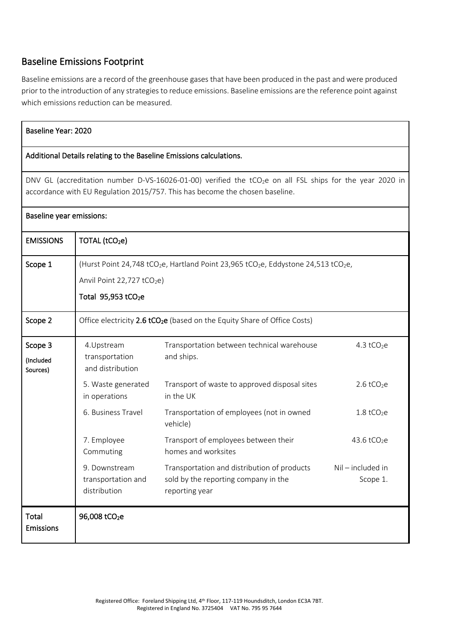#### Baseline Emissions Footprint

Baseline emissions are a record of the greenhouse gases that have been produced in the past and were produced prior to the introduction of any strategies to reduce emissions. Baseline emissions are the reference point against which emissions reduction can be measured.

| Baseline Year: 2020                                                                                                                                                                                  |                                                                                                                                                                                                     |                                                                                                       |                             |  |  |  |  |
|------------------------------------------------------------------------------------------------------------------------------------------------------------------------------------------------------|-----------------------------------------------------------------------------------------------------------------------------------------------------------------------------------------------------|-------------------------------------------------------------------------------------------------------|-----------------------------|--|--|--|--|
| Additional Details relating to the Baseline Emissions calculations.                                                                                                                                  |                                                                                                                                                                                                     |                                                                                                       |                             |  |  |  |  |
| DNV GL (accreditation number D-VS-16026-01-00) verified the tCO <sub>2</sub> e on all FSL ships for the year 2020 in<br>accordance with EU Regulation 2015/757. This has become the chosen baseline. |                                                                                                                                                                                                     |                                                                                                       |                             |  |  |  |  |
| Baseline year emissions:                                                                                                                                                                             |                                                                                                                                                                                                     |                                                                                                       |                             |  |  |  |  |
| <b>EMISSIONS</b>                                                                                                                                                                                     | TOTAL (tCO <sub>2</sub> e)                                                                                                                                                                          |                                                                                                       |                             |  |  |  |  |
| Scope 1                                                                                                                                                                                              | (Hurst Point 24,748 tCO <sub>2</sub> e, Hartland Point 23,965 tCO <sub>2</sub> e, Eddystone 24,513 tCO <sub>2</sub> e,<br>Anvil Point 22,727 tCO <sub>2</sub> e)<br>Total 95,953 tCO <sub>2</sub> e |                                                                                                       |                             |  |  |  |  |
| Scope 2                                                                                                                                                                                              | Office electricity 2.6 tCO <sub>2</sub> e (based on the Equity Share of Office Costs)                                                                                                               |                                                                                                       |                             |  |  |  |  |
| Scope 3<br>(Included<br>Sources)                                                                                                                                                                     | 4.Upstream<br>transportation<br>and distribution                                                                                                                                                    | Transportation between technical warehouse<br>and ships.                                              | 4.3 $tCO2e$                 |  |  |  |  |
|                                                                                                                                                                                                      | 5. Waste generated<br>in operations                                                                                                                                                                 | Transport of waste to approved disposal sites<br>in the UK                                            | $2.6$ tCO <sub>2</sub> e    |  |  |  |  |
|                                                                                                                                                                                                      | 6. Business Travel                                                                                                                                                                                  | Transportation of employees (not in owned<br>vehicle)                                                 | $1.8$ tCO <sub>2</sub> e    |  |  |  |  |
|                                                                                                                                                                                                      | 7. Employee<br>Commuting                                                                                                                                                                            | Transport of employees between their<br>homes and worksites                                           | 43.6 tCO <sub>2</sub> e     |  |  |  |  |
|                                                                                                                                                                                                      | 9. Downstream<br>transportation and<br>distribution                                                                                                                                                 | Transportation and distribution of products<br>sold by the reporting company in the<br>reporting year | Nil-included in<br>Scope 1. |  |  |  |  |
| <b>Total</b><br><b>Emissions</b>                                                                                                                                                                     | 96,008 tCO <sub>2</sub> e                                                                                                                                                                           |                                                                                                       |                             |  |  |  |  |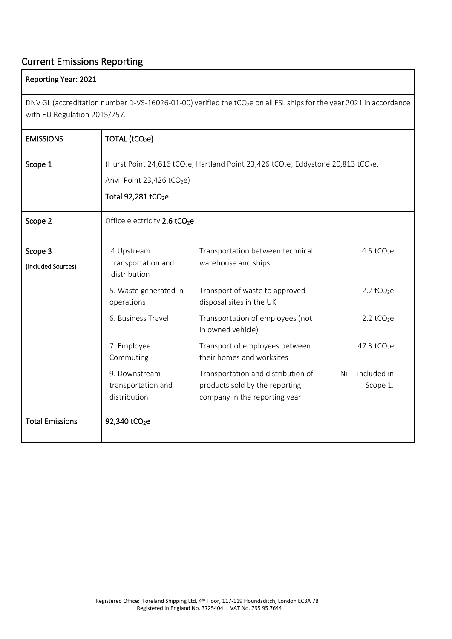## Current Emissions Reporting

#### Reporting Year: 2021

DNV GL (accreditation number D-VS-16026-01-00) verified the tCO<sub>2</sub>e on all FSL ships for the year 2021 in accordance with EU Regulation 2015/757.

| <b>EMISSIONS</b>              | TOTAL (tCO <sub>2</sub> e)                                                                                                                                                                          |                                                                                                       |                                 |
|-------------------------------|-----------------------------------------------------------------------------------------------------------------------------------------------------------------------------------------------------|-------------------------------------------------------------------------------------------------------|---------------------------------|
| Scope 1                       | (Hurst Point 24,616 tCO <sub>2</sub> e, Hartland Point 23,426 tCO <sub>2</sub> e, Eddystone 20,813 tCO <sub>2</sub> e,<br>Anvil Point 23,426 tCO <sub>2</sub> e)<br>Total 92,281 tCO <sub>2</sub> e |                                                                                                       |                                 |
| Scope 2                       | Office electricity 2.6 tCO <sub>2</sub> e                                                                                                                                                           |                                                                                                       |                                 |
| Scope 3<br>(Included Sources) | 4.Upstream<br>transportation and<br>distribution                                                                                                                                                    | Transportation between technical<br>warehouse and ships.                                              | 4.5 $tCO2e$                     |
|                               | 5. Waste generated in<br>operations                                                                                                                                                                 | Transport of waste to approved<br>disposal sites in the UK                                            | 2.2 $tCO2e$                     |
|                               | 6. Business Travel                                                                                                                                                                                  | Transportation of employees (not<br>in owned vehicle)                                                 | 2.2 tCO <sub>2</sub> e          |
|                               | 7. Employee<br>Commuting                                                                                                                                                                            | Transport of employees between<br>their homes and worksites                                           | 47.3 $tCO2e$                    |
|                               | 9. Downstream<br>transportation and<br>distribution                                                                                                                                                 | Transportation and distribution of<br>products sold by the reporting<br>company in the reporting year | $Nil$ – included in<br>Scope 1. |
| <b>Total Emissions</b>        | 92,340 tCO <sub>2</sub> e                                                                                                                                                                           |                                                                                                       |                                 |